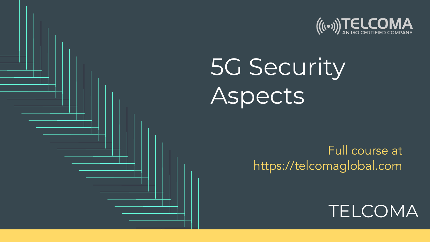

## 5G Security Aspects

[Full course at](https://telcomaglobal.com)  <https://telcomaglobal.com>

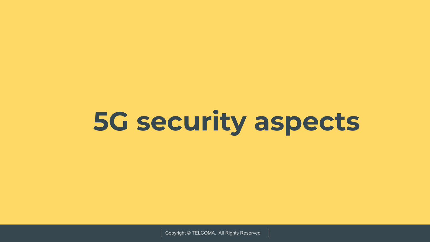# **5G security aspects**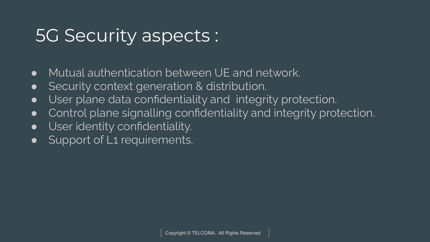#### 5G Security aspects :

- Mutual authentication between UE and network.
- Security context generation & distribution.
- User plane data confidentiality and integrity protection.
- Control plane signalling confidentiality and integrity protection.
- **•** User identity confidentiality.
- Support of L1 requirements.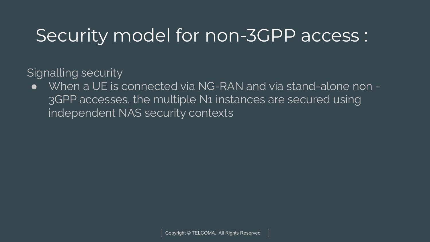#### Security model for non-3GPP access :

Signalling security

● When a UE is connected via NG-RAN and via stand-alone non -3GPP accesses, the multiple N1 instances are secured using independent NAS security contexts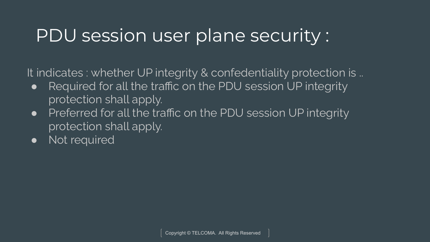#### PDU session user plane security :

It indicates : whether UP integrity & confedentiality protection is ..

- Required for all the traffic on the PDU session UP integrity protection shall apply.
- Preferred for all the traffic on the PDU session UP integrity protection shall apply.
- Not required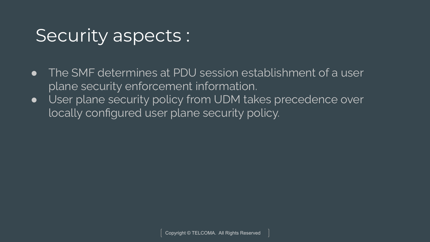#### Security aspects :

- The SMF determines at PDU session establishment of a user plane security enforcement information.
- User plane security policy from UDM takes precedence over locally configured user plane security policy.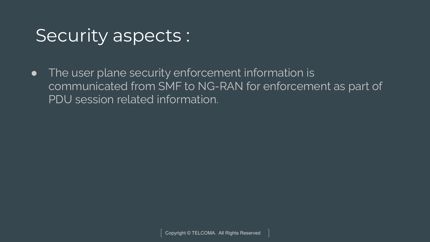#### Security aspects :

● The user plane security enforcement information is communicated from SMF to NG-RAN for enforcement as part of PDU session related information.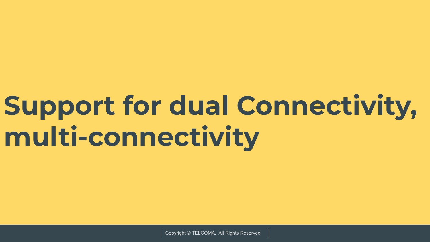# **Support for dual Connectivity, multi-connectivity**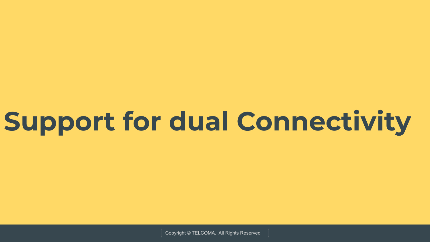# **Support for dual Connectivity**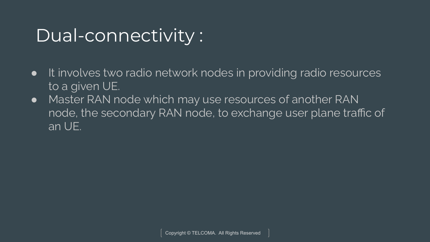#### Dual-connectivity :

- It involves two radio network nodes in providing radio resources to a given UE.
- Master RAN node which may use resources of another RAN node, the secondary RAN node, to exchange user plane traffic of an UE.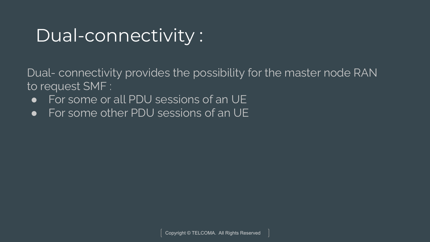#### Dual-connectivity :

Dual- connectivity provides the possibility for the master node RAN to request SMF :

- For some or all PDU sessions of an UE
- For some other PDU sessions of an UE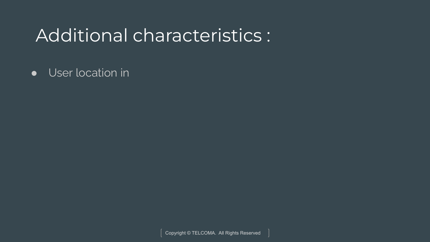#### Additional characteristics :

● User location in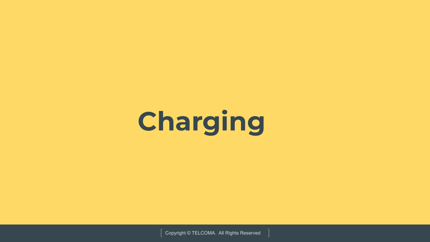# **Charging**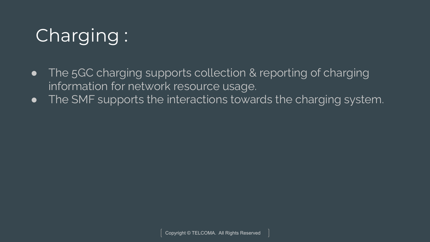## Charging :

- The 5GC charging supports collection & reporting of charging information for network resource usage.
- The SMF supports the interactions towards the charging system.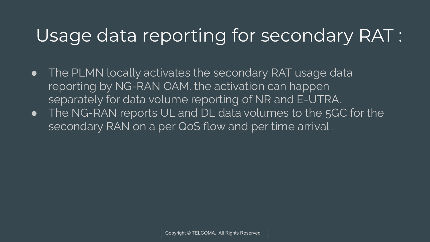### Usage data reporting for secondary RAT :

- The PLMN locally activates the secondary RAT usage data reporting by NG-RAN OAM. the activation can happen separately for data volume reporting of NR and E-UTRA.
- **•** The NG-RAN reports UL and DL data volumes to the 5GC for the secondary RAN on a per QoS flow and per time arrival .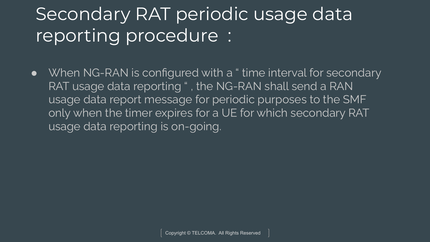## Secondary RAT periodic usage data reporting procedure :

● When NG-RAN is configured with a " time interval for secondary RAT usage data reporting " , the NG-RAN shall send a RAN usage data report message for periodic purposes to the SMF only when the timer expires for a UE for which secondary RAT usage data reporting is on-going.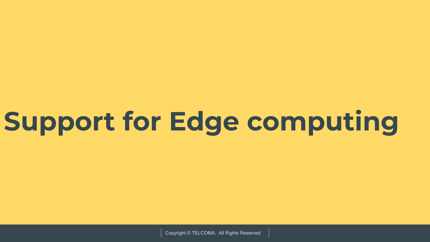# **Support for Edge computing**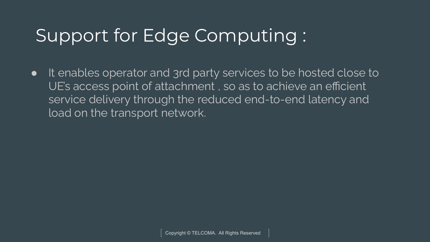### Support for Edge Computing :

● It enables operator and 3rd party services to be hosted close to UE's access point of attachment , so as to achieve an efficient service delivery through the reduced end-to-end latency and load on the transport network.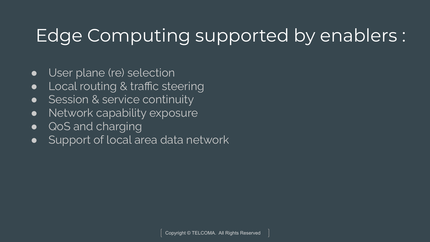### Edge Computing supported by enablers :

- User plane (re) selection
- Local routing & traffic steering
- Session & service continuity
- Network capability exposure
- QoS and charging
- Support of local area data network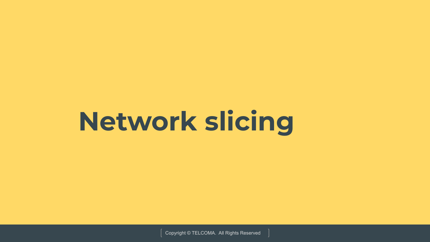# **Network slicing**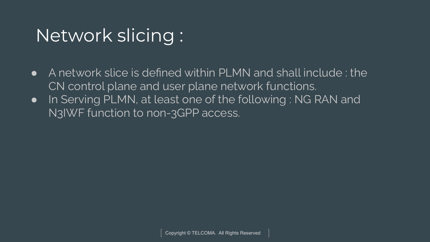### Network slicing :

- A network slice is defined within PLMN and shall include : the CN control plane and user plane network functions.
- In Serving PLMN, at least one of the following : NG RAN and N3IWF function to non-3GPP access.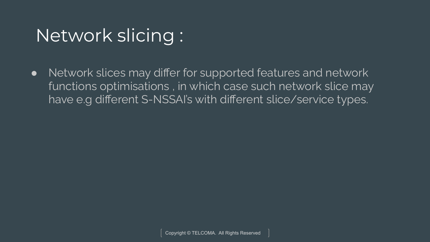### Network slicing :

• Network slices may differ for supported features and network functions optimisations , in which case such network slice may have e.g different S-NSSAI's with different slice/service types.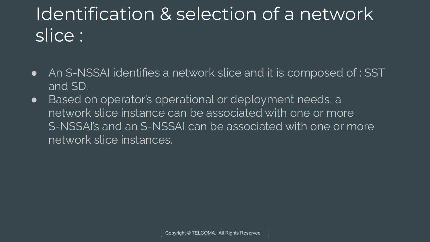## Identification & selection of a network slice :

- An S-NSSAI identifies a network slice and it is composed of : SST and SD.
- Based on operator's operational or deployment needs, a network slice instance can be associated with one or more S-NSSAI's and an S-NSSAI can be associated with one or more network slice instances.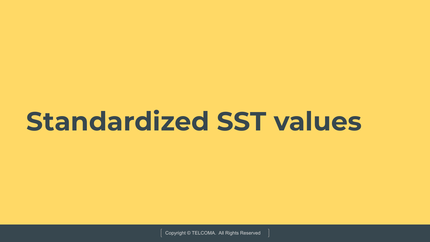# **Standardized SST values**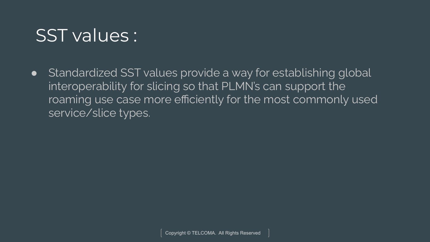#### SST values :

• Standardized SST values provide a way for establishing global interoperability for slicing so that PLMN's can support the roaming use case more efficiently for the most commonly used service/slice types.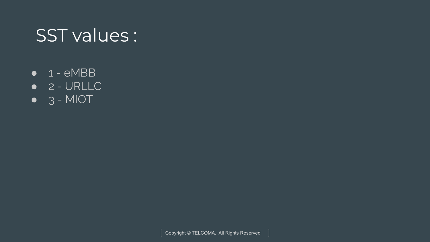#### SST values :

- $\bullet$  1 eMBB
- 2 URLLC
- $\bullet$  3 MIOT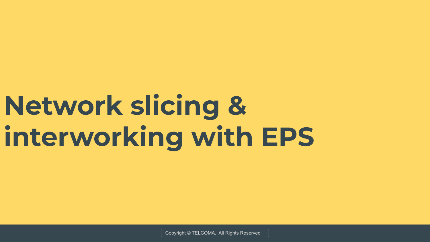# **Network slicing & interworking with EPS**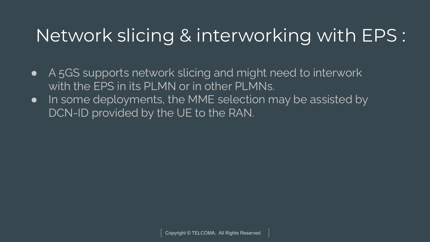### Network slicing & interworking with EPS :

- A 5GS supports network slicing and might need to interwork with the EPS in its PLMN or in other PLMNs.
- In some deployments, the MME selection may be assisted by DCN-ID provided by the UE to the RAN.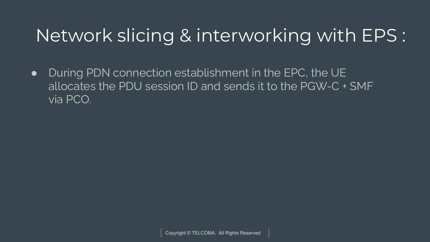### Network slicing & interworking with EPS :

• During PDN connection establishment in the EPC, the UE allocates the PDU session ID and sends it to the PGW-C + SMF via PCO.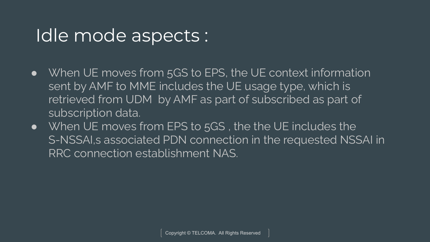#### Idle mode aspects :

- When UE moves from 5GS to EPS, the UE context information sent by AMF to MME includes the UE usage type, which is retrieved from UDM by AMF as part of subscribed as part of subscription data.
- When UE moves from EPS to 5GS , the the UE includes the S-NSSAI,s associated PDN connection in the requested NSSAI in RRC connection establishment NAS.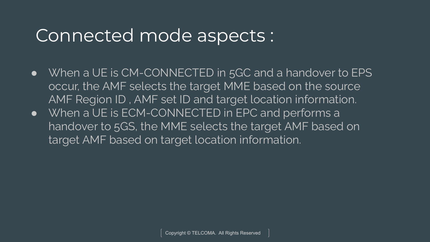#### Connected mode aspects :

- When a UE is CM-CONNECTED in 5GC and a handover to EPS occur, the AMF selects the target MME based on the source AMF Region ID , AMF set ID and target location information.
- When a UE is ECM-CONNECTED in EPC and performs a handover to 5GS, the MME selects the target AMF based on target AMF based on target location information.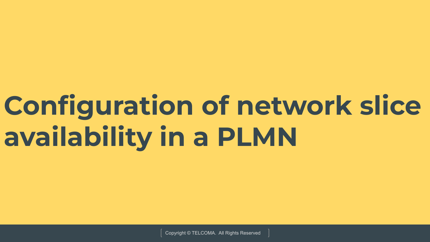# **Configuration of network slice availability in a PLMN**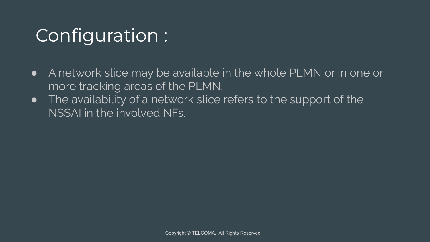### Configuration :

- A network slice may be available in the whole PLMN or in one or more tracking areas of the PLMN.
- **•** The availability of a network slice refers to the support of the NSSAI in the involved NFs.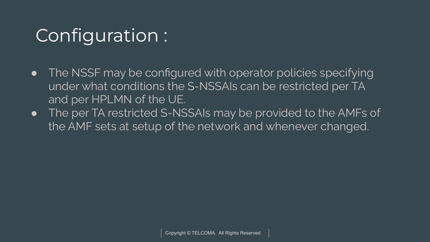### Configuration :

- The NSSF may be configured with operator policies specifying under what conditions the S-NSSAIs can be restricted per TA and per HPLMN of the UE.
- The per TA restricted S-NSSAIs may be provided to the AMFs of the AMF sets at setup of the network and whenever changed.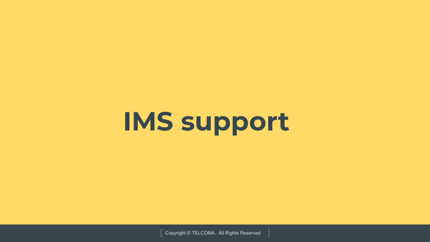# **IMS support**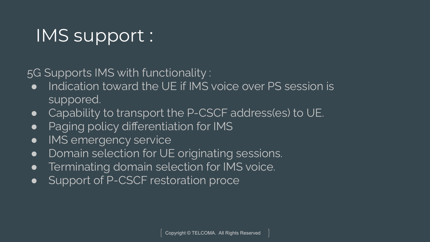### IMS support :

5G Supports IMS with functionality :

- Indication toward the UE if IMS voice over PS session is suppored.
- Capability to transport the P-CSCF address(es) to UE.
- Paging policy differentiation for IMS
- IMS emergency service
- Domain selection for UE originating sessions.
- **•** Terminating domain selection for IMS voice.
- Support of P-CSCF restoration proce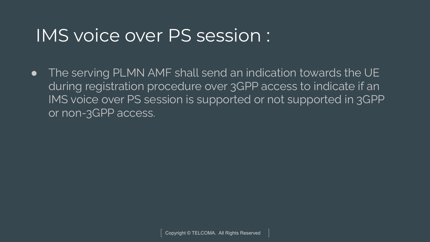#### IMS voice over PS session :

● The serving PLMN AMF shall send an indication towards the UE during registration procedure over 3GPP access to indicate if an IMS voice over PS session is supported or not supported in 3GPP or non-3GPP access.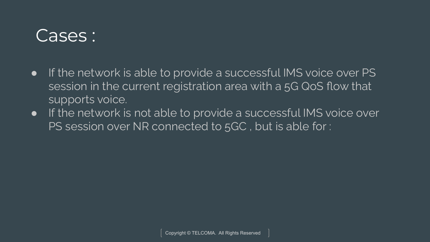#### Cases :

- If the network is able to provide a successful IMS voice over PS session in the current registration area with a 5G QoS flow that supports voice.
- If the network is not able to provide a successful IMS voice over PS session over NR connected to 5GC , but is able for :